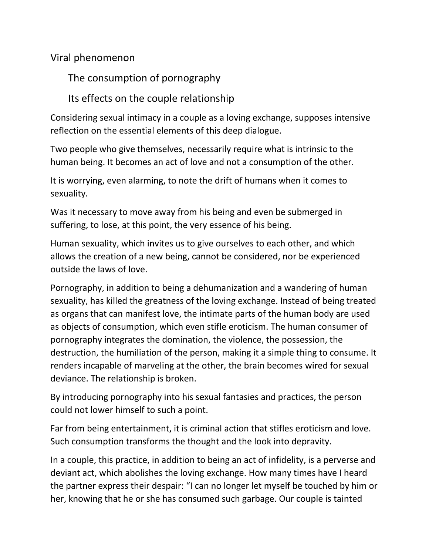## Viral phenomenon

The consumption of pornography

Its effects on the couple relationship

Considering sexual intimacy in a couple as a loving exchange, supposes intensive reflection on the essential elements of this deep dialogue.

Two people who give themselves, necessarily require what is intrinsic to the human being. It becomes an act of love and not a consumption of the other.

It is worrying, even alarming, to note the drift of humans when it comes to sexuality.

Was it necessary to move away from his being and even be submerged in suffering, to lose, at this point, the very essence of his being.

Human sexuality, which invites us to give ourselves to each other, and which allows the creation of a new being, cannot be considered, nor be experienced outside the laws of love.

Pornography, in addition to being a dehumanization and a wandering of human sexuality, has killed the greatness of the loving exchange. Instead of being treated as organs that can manifest love, the intimate parts of the human body are used as objects of consumption, which even stifle eroticism. The human consumer of pornography integrates the domination, the violence, the possession, the destruction, the humiliation of the person, making it a simple thing to consume. It renders incapable of marveling at the other, the brain becomes wired for sexual deviance. The relationship is broken.

By introducing pornography into his sexual fantasies and practices, the person could not lower himself to such a point.

Far from being entertainment, it is criminal action that stifles eroticism and love. Such consumption transforms the thought and the look into depravity.

In a couple, this practice, in addition to being an act of infidelity, is a perverse and deviant act, which abolishes the loving exchange. How many times have I heard the partner express their despair: "I can no longer let myself be touched by him or her, knowing that he or she has consumed such garbage. Our couple is tainted